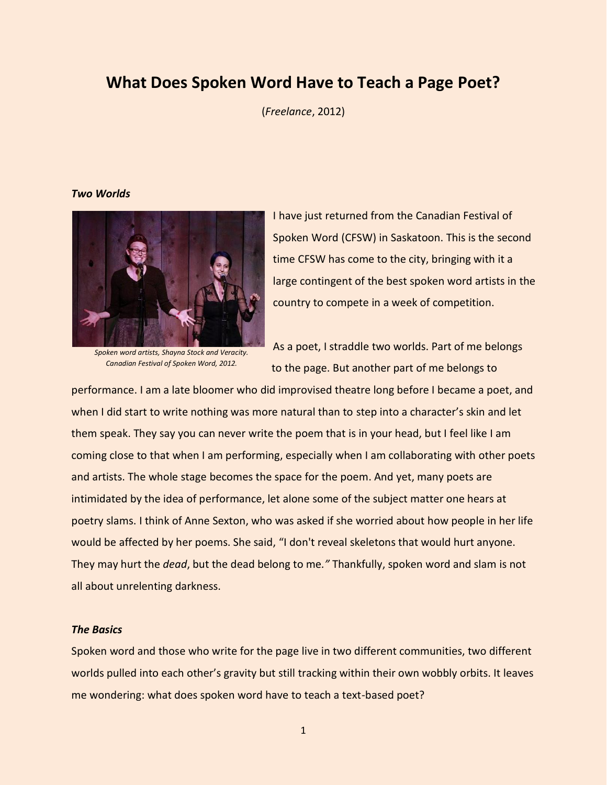# **What Does Spoken Word Have to Teach a Page Poet?**

(*Freelance*, 2012)

## *Two Worlds*



*Spoken word artists, Shayna Stock and Veracity. Canadian Festival of Spoken Word, 2012.*

I have just returned from the Canadian Festival of Spoken Word (CFSW) in Saskatoon. This is the second time CFSW has come to the city, bringing with it a large contingent of the best spoken word artists in the country to compete in a week of competition.

As a poet, I straddle two worlds. Part of me belongs to the page. But another part of me belongs to

performance. I am a late bloomer who did improvised theatre long before I became a poet, and when I did start to write nothing was more natural than to step into a character's skin and let them speak. They say you can never write the poem that is in your head, but I feel like I am coming close to that when I am performing, especially when I am collaborating with other poets and artists. The whole stage becomes the space for the poem. And yet, many poets are intimidated by the idea of performance, let alone some of the subject matter one hears at poetry slams. I think of Anne Sexton, who was asked if she worried about how people in her life would be affected by her poems. She said, "I don't reveal skeletons that would hurt anyone. They may hurt the *dead*, but the dead belong to me*."* Thankfully, spoken word and slam is not all about unrelenting darkness.

# *The Basics*

Spoken word and those who write for the page live in two different communities, two different worlds pulled into each other's gravity but still tracking within their own wobbly orbits. It leaves me wondering: what does spoken word have to teach a text-based poet?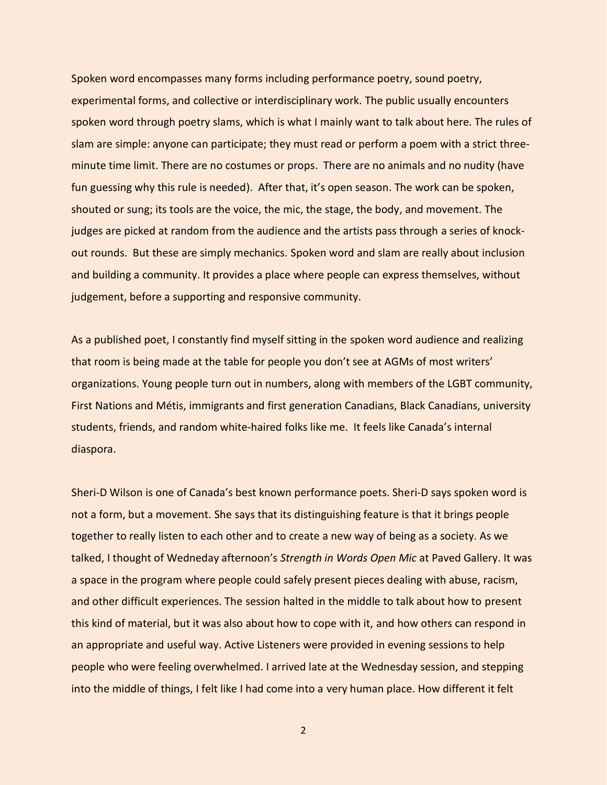Spoken word encompasses many forms including performance poetry, sound poetry, experimental forms, and collective or interdisciplinary work. The public usually encounters spoken word through poetry slams, which is what I mainly want to talk about here. The rules of slam are simple: anyone can participate; they must read or perform a poem with a strict threeminute time limit. There are no costumes or props. There are no animals and no nudity (have fun guessing why this rule is needed). After that, it's open season. The work can be spoken, shouted or sung; its tools are the voice, the mic, the stage, the body, and movement. The judges are picked at random from the audience and the artists pass through a series of knockout rounds. But these are simply mechanics. Spoken word and slam are really about inclusion and building a community. It provides a place where people can express themselves, without judgement, before a supporting and responsive community.

As a published poet, I constantly find myself sitting in the spoken word audience and realizing that room is being made at the table for people you don't see at AGMs of most writers' organizations. Young people turn out in numbers, along with members of the LGBT community, First Nations and Métis, immigrants and first generation Canadians, Black Canadians, university students, friends, and random white-haired folks like me. It feels like Canada's internal diaspora.

Sheri-D Wilson is one of Canada's best known performance poets. Sheri-D says spoken word is not a form, but a movement. She says that its distinguishing feature is that it brings people together to really listen to each other and to create a new way of being as a society. As we talked, I thought of Wedneday afternoon's *Strength in Words Open Mic* at Paved Gallery. It was a space in the program where people could safely present pieces dealing with abuse, racism, and other difficult experiences. The session halted in the middle to talk about how to present this kind of material, but it was also about how to cope with it, and how others can respond in an appropriate and useful way. Active Listeners were provided in evening sessions to help people who were feeling overwhelmed. I arrived late at the Wednesday session, and stepping into the middle of things, I felt like I had come into a very human place. How different it felt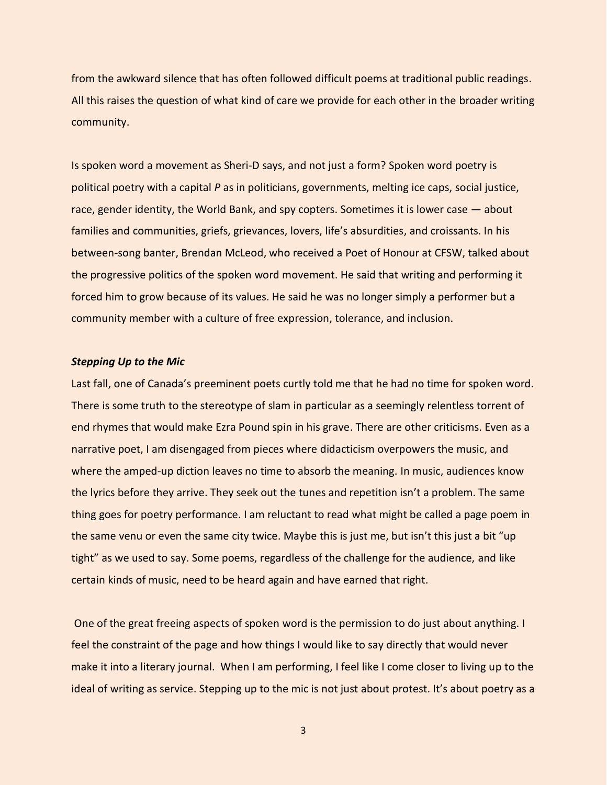from the awkward silence that has often followed difficult poems at traditional public readings. All this raises the question of what kind of care we provide for each other in the broader writing community.

Is spoken word a movement as Sheri-D says, and not just a form? Spoken word poetry is political poetry with a capital *P* as in politicians, governments, melting ice caps, social justice, race, gender identity, the World Bank, and spy copters. Sometimes it is lower case — about families and communities, griefs, grievances, lovers, life's absurdities, and croissants. In his between-song banter, Brendan McLeod, who received a Poet of Honour at CFSW, talked about the progressive politics of the spoken word movement. He said that writing and performing it forced him to grow because of its values. He said he was no longer simply a performer but a community member with a culture of free expression, tolerance, and inclusion.

## *Stepping Up to the Mic*

Last fall, one of Canada's preeminent poets curtly told me that he had no time for spoken word. There is some truth to the stereotype of slam in particular as a seemingly relentless torrent of end rhymes that would make Ezra Pound spin in his grave. There are other criticisms. Even as a narrative poet, I am disengaged from pieces where didacticism overpowers the music, and where the amped-up diction leaves no time to absorb the meaning. In music, audiences know the lyrics before they arrive. They seek out the tunes and repetition isn't a problem. The same thing goes for poetry performance. I am reluctant to read what might be called a page poem in the same venu or even the same city twice. Maybe this is just me, but isn't this just a bit "up tight" as we used to say. Some poems, regardless of the challenge for the audience, and like certain kinds of music, need to be heard again and have earned that right.

One of the great freeing aspects of spoken word is the permission to do just about anything. I feel the constraint of the page and how things I would like to say directly that would never make it into a literary journal. When I am performing, I feel like I come closer to living up to the ideal of writing as service. Stepping up to the mic is not just about protest. It's about poetry as a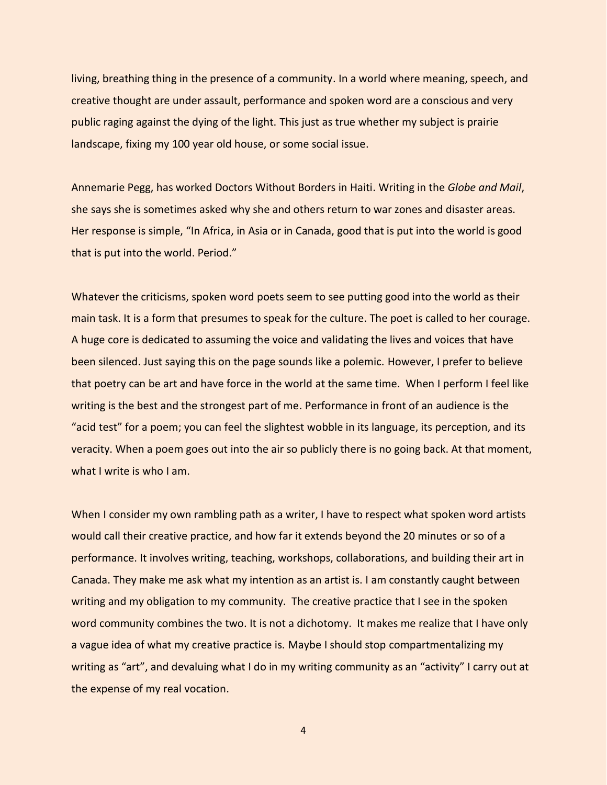living, breathing thing in the presence of a community. In a world where meaning, speech, and creative thought are under assault, performance and spoken word are a conscious and very public raging against the dying of the light. This just as true whether my subject is prairie landscape, fixing my 100 year old house, or some social issue.

Annemarie Pegg, has worked Doctors Without Borders in Haiti. Writing in the *Globe and Mail*, she says she is sometimes asked why she and others return to war zones and disaster areas. Her response is simple, "In Africa, in Asia or in Canada, good that is put into the world is good that is put into the world. Period."

Whatever the criticisms, spoken word poets seem to see putting good into the world as their main task. It is a form that presumes to speak for the culture. The poet is called to her courage. A huge core is dedicated to assuming the voice and validating the lives and voices that have been silenced. Just saying this on the page sounds like a polemic. However, I prefer to believe that poetry can be art and have force in the world at the same time. When I perform I feel like writing is the best and the strongest part of me. Performance in front of an audience is the "acid test" for a poem; you can feel the slightest wobble in its language, its perception, and its veracity. When a poem goes out into the air so publicly there is no going back. At that moment, what I write is who I am.

When I consider my own rambling path as a writer, I have to respect what spoken word artists would call their creative practice, and how far it extends beyond the 20 minutes or so of a performance. It involves writing, teaching, workshops, collaborations, and building their art in Canada. They make me ask what my intention as an artist is. I am constantly caught between writing and my obligation to my community. The creative practice that I see in the spoken word community combines the two. It is not a dichotomy. It makes me realize that I have only a vague idea of what my creative practice is. Maybe I should stop compartmentalizing my writing as "art", and devaluing what I do in my writing community as an "activity" I carry out at the expense of my real vocation.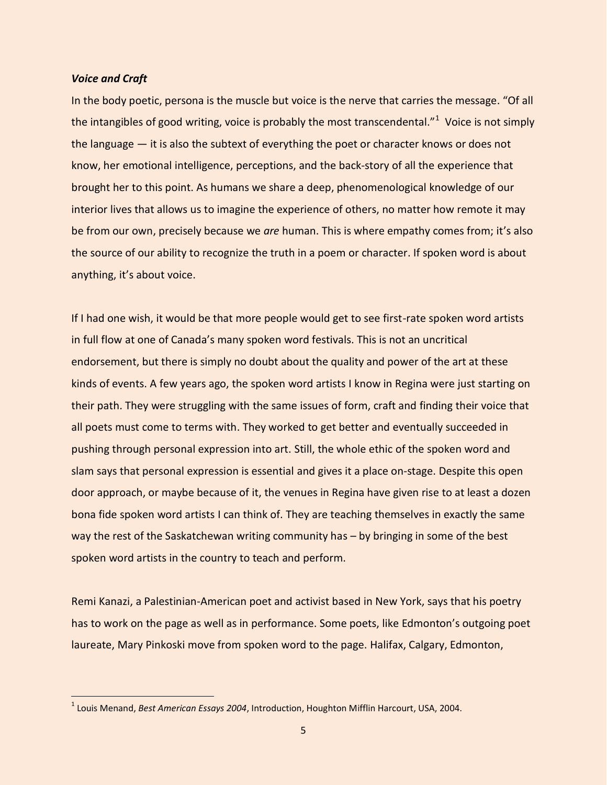#### *Voice and Craft*

In the body poetic, persona is the muscle but voice is the nerve that carries the message. "Of all the intangibles of good writing, voice is probably the most transcendental."<sup>1</sup> Voice is not simply the language — it is also the subtext of everything the poet or character knows or does not know, her emotional intelligence, perceptions, and the back-story of all the experience that brought her to this point. As humans we share a deep, phenomenological knowledge of our interior lives that allows us to imagine the experience of others, no matter how remote it may be from our own, precisely because we *are* human. This is where empathy comes from; it's also the source of our ability to recognize the truth in a poem or character. If spoken word is about anything, it's about voice.

If I had one wish, it would be that more people would get to see first-rate spoken word artists in full flow at one of Canada's many spoken word festivals. This is not an uncritical endorsement, but there is simply no doubt about the quality and power of the art at these kinds of events. A few years ago, the spoken word artists I know in Regina were just starting on their path. They were struggling with the same issues of form, craft and finding their voice that all poets must come to terms with. They worked to get better and eventually succeeded in pushing through personal expression into art. Still, the whole ethic of the spoken word and slam says that personal expression is essential and gives it a place on-stage. Despite this open door approach, or maybe because of it, the venues in Regina have given rise to at least a dozen bona fide spoken word artists I can think of. They are teaching themselves in exactly the same way the rest of the Saskatchewan writing community has – by bringing in some of the best spoken word artists in the country to teach and perform.

Remi Kanazi, a Palestinian-American poet and activist based in New York, says that his poetry has to work on the page as well as in performance. Some poets, like Edmonton's outgoing poet laureate, Mary Pinkoski move from spoken word to the page. Halifax, Calgary, Edmonton,

<sup>1</sup> Louis Menand, *Best American Essays 2004*, Introduction, Houghton Mifflin Harcourt, USA, 2004.